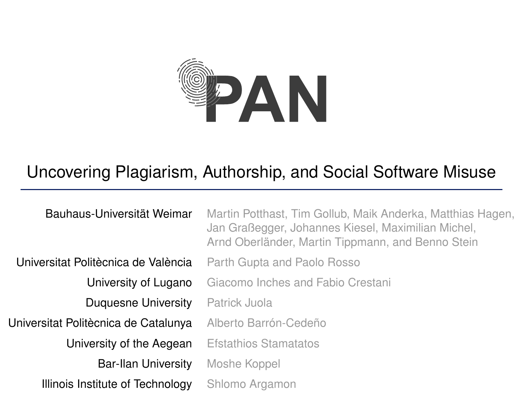

### <span id="page-0-0"></span>Uncovering Plagiarism, Authorship, and Social Software Misuse

Bauhaus-Universität Weimar Martin Potthast, Tim Gollub, Maik Anderka, Matthias Hagen, Jan Graßegger, Johannes Kiesel, Maximilian Michel, Arnd Oberländer, Martin Tippmann, and Benno Stein Universitat Politècnica de València Parth Gupta and Paolo Rosso University of Lugano Giacomo Inches and Fabio Crestani Duquesne University Patrick Juola Universitat Politècnica de Catalunya Alberto Barrón-Cedeño University of the Aegean Efstathios Stamatatos **Bar-Ilan University** Moshe Koppel Illinois Institute of Technology Shlomo Argamon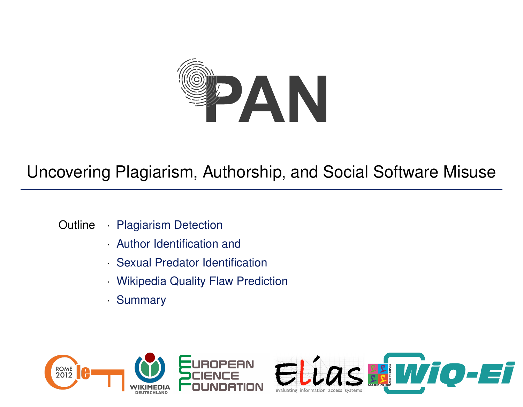

### <span id="page-1-0"></span>Uncovering Plagiarism, Authorship, and Social Software Misuse

- Outline *·* [Plagiarism Detection](#page-2-0)
	- *·* [Author Identification and](#page-5-0)
	- *·* [Sexual Predator Identification](#page-5-0)
	- *·* [Wikipedia Quality Flaw Prediction](#page-11-0)
	- *·* [Summary](#page-0-0)



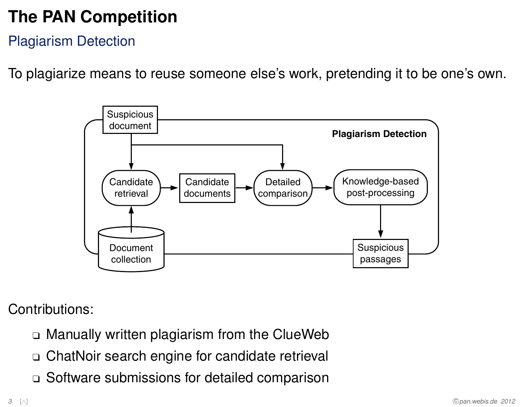Plagiarism Detection

To plagiarize means to reuse someone else's work, pretending it to be one's own.

<span id="page-2-0"></span>

Contributions:

- $\Box$  Manually written plagiarism from the ClueWeb
- <sup>q</sup> ChatNoir search engine for candidate retrieval
- <sup>q</sup> Software submissions for detailed comparison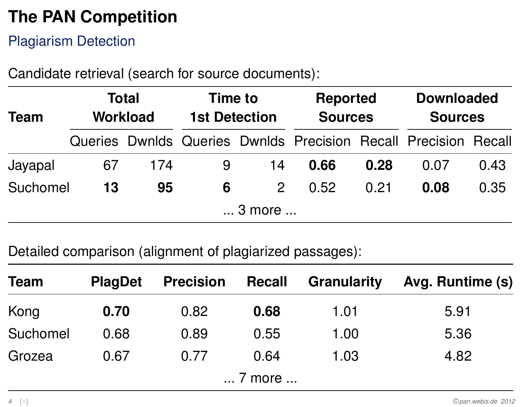#### Plagiarism Detection

Candidate retrieval (search for source documents):

| Team     | <b>Total</b><br><b>Workload</b> |     | Time to<br><b>1st Detection</b> |               | <b>Reported</b><br><b>Sources</b>                               |      | <b>Downloaded</b><br><b>Sources</b> |      |
|----------|---------------------------------|-----|---------------------------------|---------------|-----------------------------------------------------------------|------|-------------------------------------|------|
|          |                                 |     |                                 |               | Queries Dwnlds Queries Dwnlds Precision Recall Precision Recall |      |                                     |      |
| Jayapal  | 67                              | 174 | 9                               | 14            | 0.66                                                            | 0.28 | 0.07                                | 0.43 |
| Suchomel | 13                              | 95  | 6                               | $\mathcal{P}$ | 0.52                                                            | 0.21 | 0.08                                | 0.35 |
|          |                                 |     |                                 | 3 more        |                                                                 |      |                                     |      |

Detailed comparison (alignment of plagiarized passages):

| <b>Team</b> | <b>PlagDet</b> | <b>Precision</b> | Recall | <b>Granularity</b> | Avg. Runtime (s) |
|-------------|----------------|------------------|--------|--------------------|------------------|
| Kong        | 0.70           | 0.82             | 0.68   | 1.01               | 5.91             |
| Suchomel    | 0.68           | 0.89             | 0.55   | 1.00               | 5.36             |
| Grozea      | 0.67           | 0.77             | 0.64   | 1.03               | 4.82             |
|             |                |                  | 7 more |                    |                  |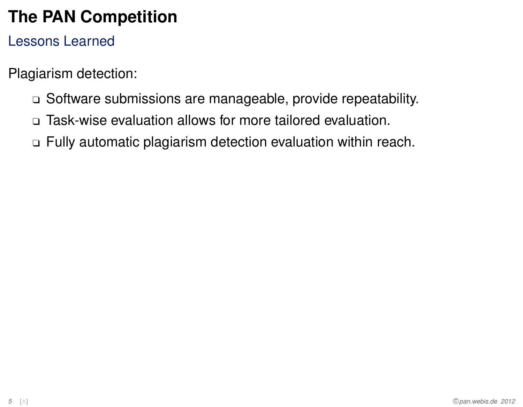#### Lessons Learned

Plagiarism detection:

- □ Software submissions are manageable, provide repeatability.
- <sup>q</sup> Task-wise evaluation allows for more tailored evaluation.
- <sup>q</sup> Fully automatic plagiarism detection evaluation within reach.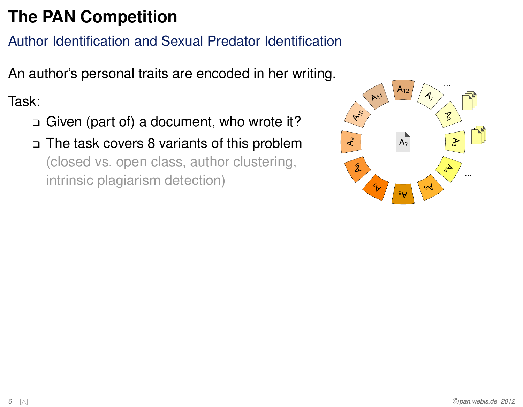#### Author Identification and Sexual Predator Identification

An author's personal traits are encoded in her writing.

Task:

- Given (part of) a document, who wrote it?
- $\Box$  The task covers 8 variants of this problem (closed vs. open class, author clustering, intrinsic plagiarism detection)

<span id="page-5-0"></span>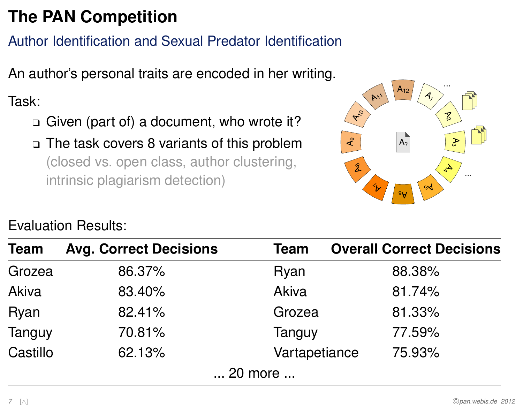#### Author Identification and Sexual Predator Identification

An author's personal traits are encoded in her writing.

Task:

- Given (part of) a document, who wrote it?
- □ The task covers 8 variants of this problem (closed vs. open class, author clustering, intrinsic plagiarism detection)



| <b>Evaluation Results:</b> |  |
|----------------------------|--|
|----------------------------|--|

| <b>Team</b>  | <b>Avg. Correct Decisions</b> | <b>Team</b>   | <b>Overall Correct Decisions</b> |
|--------------|-------------------------------|---------------|----------------------------------|
| Grozea       | 86.37%                        | Ryan          | 88.38%                           |
| <b>Akiva</b> | 83.40%                        | Akiva         | 81.74%                           |
| Ryan         | 82.41%                        | Grozea        | 81.33%                           |
| Tanguy       | 70.81%                        | Tanguy        | 77.59%                           |
| Castillo     | 62.13%                        | Vartapetiance | 75.93%                           |
|              |                               | 20 more       |                                  |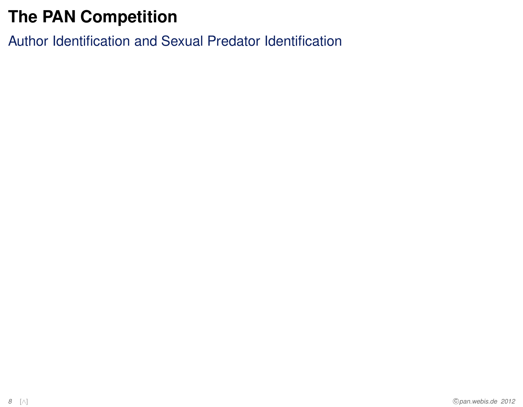Author Identification and Sexual Predator Identification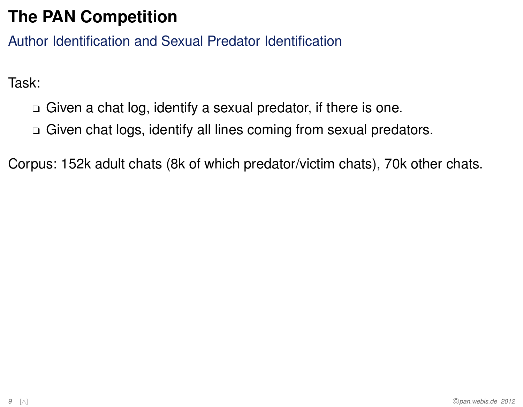Author Identification and Sexual Predator Identification

Task:

- $\Box$  Given a chat log, identify a sexual predator, if there is one.
- □ Given chat logs, identify all lines coming from sexual predators.

Corpus: 152k adult chats (8k of which predator/victim chats), 70k other chats.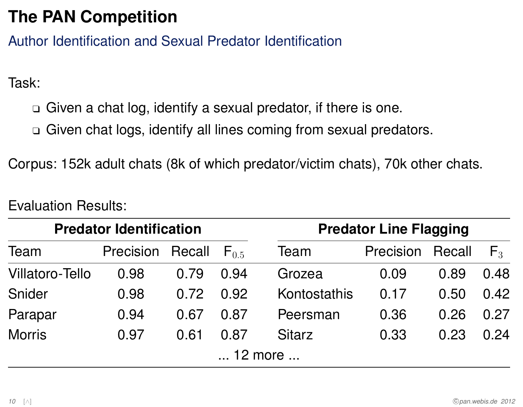Author Identification and Sexual Predator Identification

Task:

- $\Box$  Given a chat log, identify a sexual predator, if there is one.
- <sup>q</sup> Given chat logs, identify all lines coming from sexual predators.

Corpus: 152k adult chats (8k of which predator/victim chats), 70k other chats.

| <b>Predator Identification</b> |                         |      |           | <b>Predator Line Flagging</b> |                         |      |       |
|--------------------------------|-------------------------|------|-----------|-------------------------------|-------------------------|------|-------|
| Team                           | <b>Precision Recall</b> |      | $F_{0.5}$ | Team                          | <b>Precision Recall</b> |      | $F_3$ |
| <b>Villatoro-Tello</b>         | 0.98                    | 0.79 | 0.94      | Grozea                        | 0.09                    | 0.89 | 0.48  |
| Snider                         | 0.98                    | 0.72 | 0.92      | Kontostathis                  | 0.17                    | 0.50 | 0.42  |
| Parapar                        | 0.94                    | 0.67 | 0.87      | Peersman                      | 0.36                    | 0.26 | 0.27  |
| <b>Morris</b>                  | 0.97                    | 0.61 | 0.87      | <b>Sitarz</b>                 | 0.33                    | 0.23 | 0.24  |
|                                |                         |      |           | 12 more                       |                         |      |       |

Evaluation Results: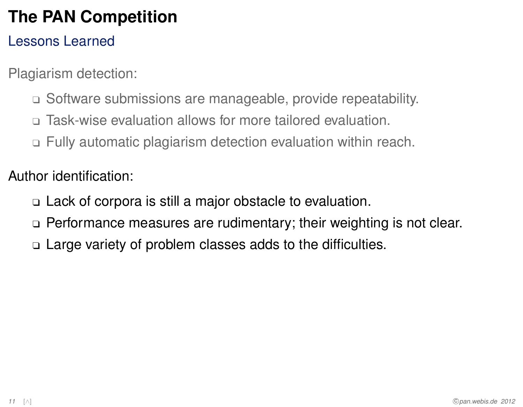#### Lessons Learned

Plagiarism detection:

- □ Software submissions are manageable, provide repeatability.
- <sup>q</sup> Task-wise evaluation allows for more tailored evaluation.
- <sup>q</sup> Fully automatic plagiarism detection evaluation within reach.

Author identification:

- $\Box$  Lack of corpora is still a major obstacle to evaluation.
- $\Box$  Performance measures are rudimentary; their weighting is not clear.
- $\Box$  Large variety of problem classes adds to the difficulties.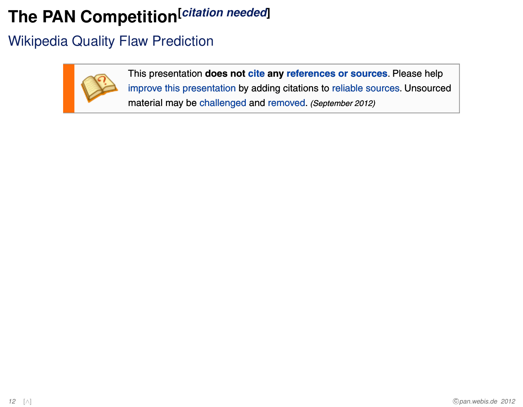#### Wikipedia Quality Flaw Prediction



<span id="page-11-0"></span>This presentation **does not cite any references or sources**. Please help improve this presentation by adding citations to reliable sources. Unsourced material may be challenged and removed. (September 2012)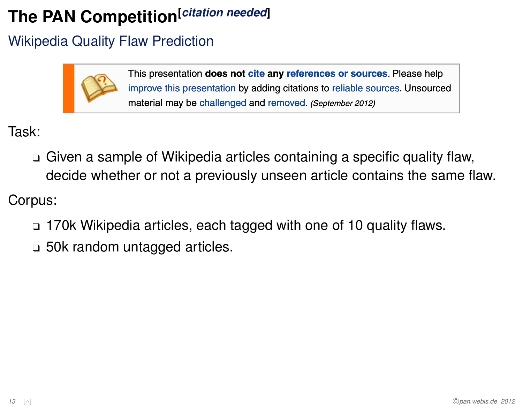#### Wikipedia Quality Flaw Prediction



This presentation **does not cite any references or sources**. Please help improve this presentation by adding citations to reliable sources. Unsourced material may be challenged and removed. (September 2012)

Task:

<sup>q</sup> Given a sample of Wikipedia articles containing a specific quality flaw, decide whether or not a previously unseen article contains the same flaw.

Corpus:

- <sup>q</sup> 170k Wikipedia articles, each tagged with one of 10 quality flaws.
- $\Box$  50k random untagged articles.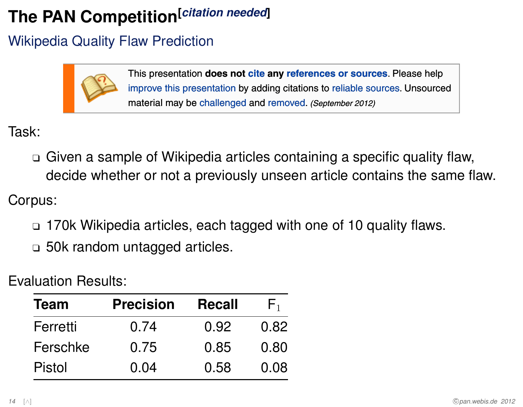#### Wikipedia Quality Flaw Prediction



This presentation **does not cite any references or sources**. Please help improve this presentation by adding citations to reliable sources. Unsourced material may be challenged and removed. (September 2012)

Task:

<sup>q</sup> Given a sample of Wikipedia articles containing a specific quality flaw, decide whether or not a previously unseen article contains the same flaw.

Corpus:

- $\Box$  170k Wikipedia articles, each tagged with one of 10 quality flaws.
- $\Box$  50k random untagged articles.

Evaluation Results:

| <b>Team</b>   | <b>Precision</b> | <b>Recall</b> | $\mathsf{H}_1$ |
|---------------|------------------|---------------|----------------|
| Ferretti      | 0.74             | 0.92          | 0.82           |
| Ferschke      | 0.75             | 0.85          | 0.80           |
| <b>Pistol</b> | 0.04             | 0.58          | 0.08           |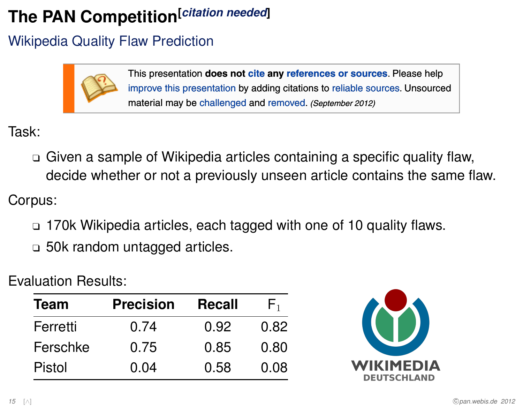### Wikipedia Quality Flaw Prediction



This presentation **does not cite any references or sources**. Please help improve this presentation by adding citations to reliable sources. Unsourced material may be challenged and removed. (September 2012)

Task:

<sup>q</sup> Given a sample of Wikipedia articles containing a specific quality flaw, decide whether or not a previously unseen article contains the same flaw.

Corpus:

- <sup>q</sup> 170k Wikipedia articles, each tagged with one of 10 quality flaws.
- $\Box$  50k random untagged articles.

Evaluation Results:

| <b>Team</b> | <b>Precision</b> | <b>Recall</b> | $\mathsf{H}_1$ |
|-------------|------------------|---------------|----------------|
| Ferretti    | 0.74             | 0.92          | 0.82           |
| Ferschke    | 0.75             | 0.85          | 0.80           |
| Pistol      | 0.04             | 0.58          | 0.08           |

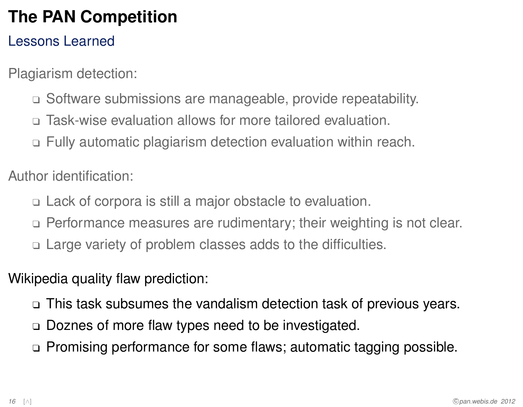#### Lessons Learned

Plagiarism detection:

- □ Software submissions are manageable, provide repeatability.
- <sup>q</sup> Task-wise evaluation allows for more tailored evaluation.
- <sup>q</sup> Fully automatic plagiarism detection evaluation within reach.

Author identification:

- <sup>q</sup> Lack of corpora is still a major obstacle to evaluation.
- □ Performance measures are rudimentary; their weighting is not clear.
- $\Box$  Large variety of problem classes adds to the difficulties.
- Wikipedia quality flaw prediction:
	- $\Box$  This task subsumes the vandalism detection task of previous years.
	- □ Doznes of more flaw types need to be investigated.
	- □ Promising performance for some flaws; automatic tagging possible.